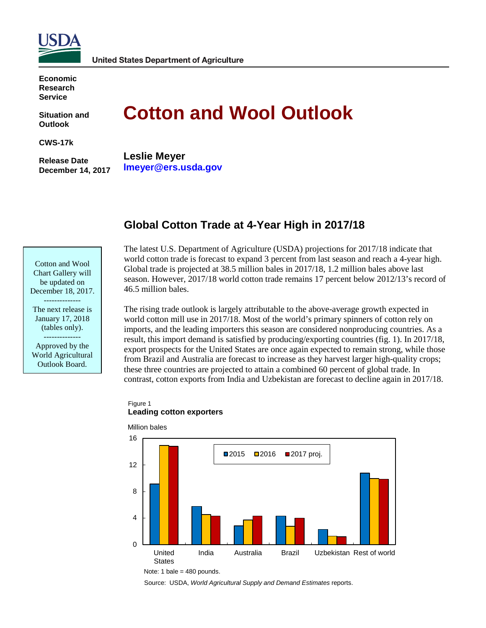

**Economic Research Service**

**Situation and Outlook**

**CWS-17k** 

**Release Date December 14, 2017** 

# **Cotton and Wool Outlook**

**Leslie Meyer lmeyer@ers.usda.gov**

# **Global Cotton Trade at 4-Year High in 2017/18**

Cotton and Wool Chart Gallery will be updated on December 18, 2017.

-------------- The next release is January 17, 2018 (tables only). --------------

Approved by the World Agricultural Outlook Board.

The latest U.S. Department of Agriculture (USDA) projections for 2017/18 indicate that world cotton trade is forecast to expand 3 percent from last season and reach a 4-year high. Global trade is projected at 38.5 million bales in 2017/18, 1.2 million bales above last season. However, 2017/18 world cotton trade remains 17 percent below 2012/13's record of 46.5 million bales.

The rising trade outlook is largely attributable to the above-average growth expected in world cotton mill use in 2017/18. Most of the world's primary spinners of cotton rely on imports, and the leading importers this season are considered nonproducing countries. As a result, this import demand is satisfied by producing/exporting countries (fig. 1). In 2017/18, export prospects for the United States are once again expected to remain strong, while those from Brazil and Australia are forecast to increase as they harvest larger high-quality crops; these three countries are projected to attain a combined 60 percent of global trade. In contrast, cotton exports from India and Uzbekistan are forecast to decline again in 2017/18.

#### Figure 1 **Leading cotton exporters**



Note: 1 bale = 480 pounds.

Source: USDA, *World Agricultural Supply and Demand Estimates* reports.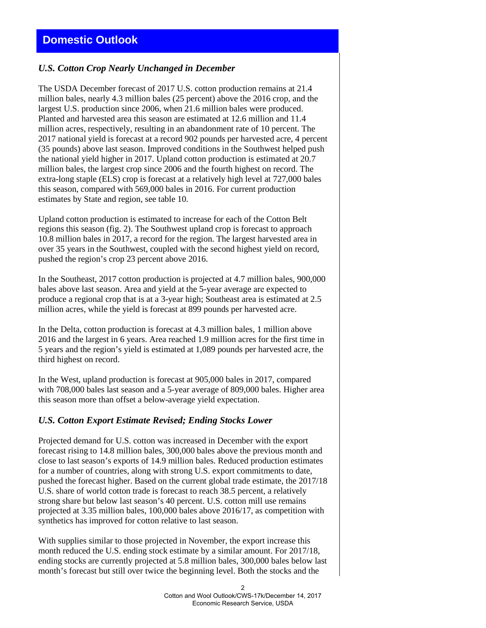# *U.S. Cotton Crop Nearly Unchanged in December*

The USDA December forecast of 2017 U.S. cotton production remains at 21.4 million bales, nearly 4.3 million bales (25 percent) above the 2016 crop, and the largest U.S. production since 2006, when 21.6 million bales were produced. Planted and harvested area this season are estimated at 12.6 million and 11.4 million acres, respectively, resulting in an abandonment rate of 10 percent. The 2017 national yield is forecast at a record 902 pounds per harvested acre, 4 percent (35 pounds) above last season. Improved conditions in the Southwest helped push the national yield higher in 2017. Upland cotton production is estimated at 20.7 million bales, the largest crop since 2006 and the fourth highest on record. The extra-long staple (ELS) crop is forecast at a relatively high level at 727,000 bales this season, compared with 569,000 bales in 2016. For current production estimates by State and region, see table 10.

Upland cotton production is estimated to increase for each of the Cotton Belt regions this season (fig. 2). The Southwest upland crop is forecast to approach 10.8 million bales in 2017, a record for the region. The largest harvested area in over 35 years in the Southwest, coupled with the second highest yield on record, pushed the region's crop 23 percent above 2016.

In the Southeast, 2017 cotton production is projected at 4.7 million bales, 900,000 bales above last season. Area and yield at the 5-year average are expected to produce a regional crop that is at a 3-year high; Southeast area is estimated at 2.5 million acres, while the yield is forecast at 899 pounds per harvested acre.

In the Delta, cotton production is forecast at 4.3 million bales, 1 million above 2016 and the largest in 6 years. Area reached 1.9 million acres for the first time in 5 years and the region's yield is estimated at 1,089 pounds per harvested acre, the third highest on record.

In the West, upland production is forecast at 905,000 bales in 2017, compared with 708,000 bales last season and a 5-year average of 809,000 bales. Higher area this season more than offset a below-average yield expectation.

#### *U.S. Cotton Export Estimate Revised; Ending Stocks Lower*

Projected demand for U.S. cotton was increased in December with the export forecast rising to 14.8 million bales, 300,000 bales above the previous month and close to last season's exports of 14.9 million bales. Reduced production estimates for a number of countries, along with strong U.S. export commitments to date, pushed the forecast higher. Based on the current global trade estimate, the 2017/18 U.S. share of world cotton trade is forecast to reach 38.5 percent, a relatively strong share but below last season's 40 percent. U.S. cotton mill use remains projected at 3.35 million bales, 100,000 bales above 2016/17, as competition with synthetics has improved for cotton relative to last season.

With supplies similar to those projected in November, the export increase this month reduced the U.S. ending stock estimate by a similar amount. For 2017/18, ending stocks are currently projected at 5.8 million bales, 300,000 bales below last month's forecast but still over twice the beginning level. Both the stocks and the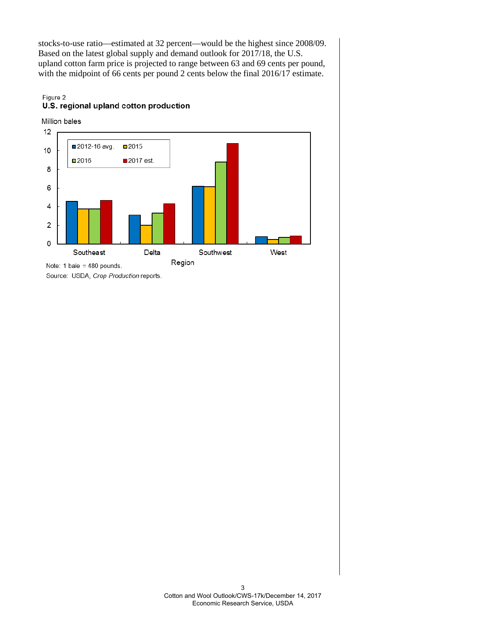stocks-to-use ratio—estimated at 32 percent—would be the highest since 2008/09. Based on the latest global supply and demand outlook for 2017/18, the U.S. upland cotton farm price is projected to range between 63 and 69 cents per pound, with the midpoint of 66 cents per pound 2 cents below the final 2016/17 estimate.

## Figure 2 U.S. regional upland cotton production

Million bales



Source: USDA, Crop Production reports.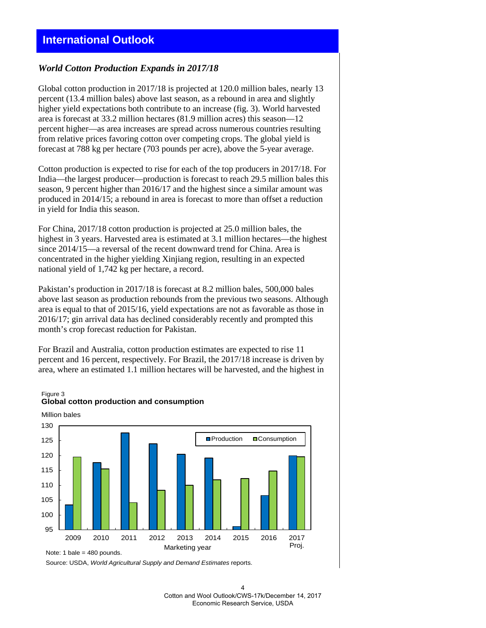#### *World Cotton Production Expands in 2017/18*

Global cotton production in 2017/18 is projected at 120.0 million bales, nearly 13 percent (13.4 million bales) above last season, as a rebound in area and slightly higher yield expectations both contribute to an increase (fig. 3). World harvested area is forecast at 33.2 million hectares (81.9 million acres) this season—12 percent higher—as area increases are spread across numerous countries resulting from relative prices favoring cotton over competing crops. The global yield is forecast at 788 kg per hectare (703 pounds per acre), above the 5-year average.

Cotton production is expected to rise for each of the top producers in 2017/18. For India—the largest producer—production is forecast to reach 29.5 million bales this season, 9 percent higher than 2016/17 and the highest since a similar amount was produced in 2014/15; a rebound in area is forecast to more than offset a reduction in yield for India this season.

For China, 2017/18 cotton production is projected at 25.0 million bales, the highest in 3 years. Harvested area is estimated at 3.1 million hectares—the highest since 2014/15—a reversal of the recent downward trend for China. Area is concentrated in the higher yielding Xinjiang region, resulting in an expected national yield of 1,742 kg per hectare, a record.

Pakistan's production in 2017/18 is forecast at 8.2 million bales, 500,000 bales above last season as production rebounds from the previous two seasons. Although area is equal to that of 2015/16, yield expectations are not as favorable as those in 2016/17; gin arrival data has declined considerably recently and prompted this month's crop forecast reduction for Pakistan.

For Brazil and Australia, cotton production estimates are expected to rise 11 percent and 16 percent, respectively. For Brazil, the 2017/18 increase is driven by area, where an estimated 1.1 million hectares will be harvested, and the highest in

# Figure 3



**Global cotton production and consumption**

Source: USDA, *World Agricultural Supply and Demand Estimates* reports.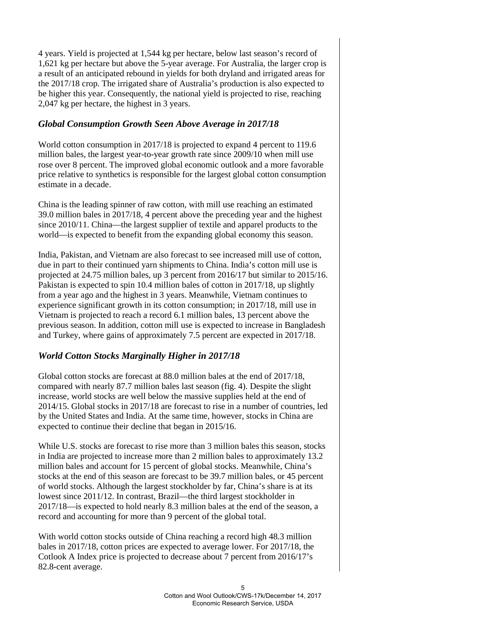4 years. Yield is projected at 1,544 kg per hectare, below last season's record of 1,621 kg per hectare but above the 5-year average. For Australia, the larger crop is a result of an anticipated rebound in yields for both dryland and irrigated areas for the 2017/18 crop. The irrigated share of Australia's production is also expected to be higher this year. Consequently, the national yield is projected to rise, reaching 2,047 kg per hectare, the highest in 3 years.

## *Global Consumption Growth Seen Above Average in 2017/18*

World cotton consumption in 2017/18 is projected to expand 4 percent to 119.6 million bales, the largest year-to-year growth rate since 2009/10 when mill use rose over 8 percent. The improved global economic outlook and a more favorable price relative to synthetics is responsible for the largest global cotton consumption estimate in a decade.

China is the leading spinner of raw cotton, with mill use reaching an estimated 39.0 million bales in 2017/18, 4 percent above the preceding year and the highest since 2010/11. China—the largest supplier of textile and apparel products to the world—is expected to benefit from the expanding global economy this season.

India, Pakistan, and Vietnam are also forecast to see increased mill use of cotton, due in part to their continued yarn shipments to China. India's cotton mill use is projected at 24.75 million bales, up 3 percent from 2016/17 but similar to 2015/16. Pakistan is expected to spin 10.4 million bales of cotton in 2017/18, up slightly from a year ago and the highest in 3 years. Meanwhile, Vietnam continues to experience significant growth in its cotton consumption; in 2017/18, mill use in Vietnam is projected to reach a record 6.1 million bales, 13 percent above the previous season. In addition, cotton mill use is expected to increase in Bangladesh and Turkey, where gains of approximately 7.5 percent are expected in 2017/18.

# *World Cotton Stocks Marginally Higher in 2017/18*

Global cotton stocks are forecast at 88.0 million bales at the end of 2017/18, compared with nearly 87.7 million bales last season (fig. 4). Despite the slight increase, world stocks are well below the massive supplies held at the end of 2014/15. Global stocks in 2017/18 are forecast to rise in a number of countries, led by the United States and India. At the same time, however, stocks in China are expected to continue their decline that began in 2015/16.

While U.S. stocks are forecast to rise more than 3 million bales this season, stocks in India are projected to increase more than 2 million bales to approximately 13.2 million bales and account for 15 percent of global stocks. Meanwhile, China's stocks at the end of this season are forecast to be 39.7 million bales, or 45 percent of world stocks. Although the largest stockholder by far, China's share is at its lowest since 2011/12. In contrast, Brazil—the third largest stockholder in 2017/18—is expected to hold nearly 8.3 million bales at the end of the season, a record and accounting for more than 9 percent of the global total.

With world cotton stocks outside of China reaching a record high 48.3 million bales in 2017/18, cotton prices are expected to average lower. For 2017/18, the Cotlook A Index price is projected to decrease about 7 percent from 2016/17's 82.8-cent average.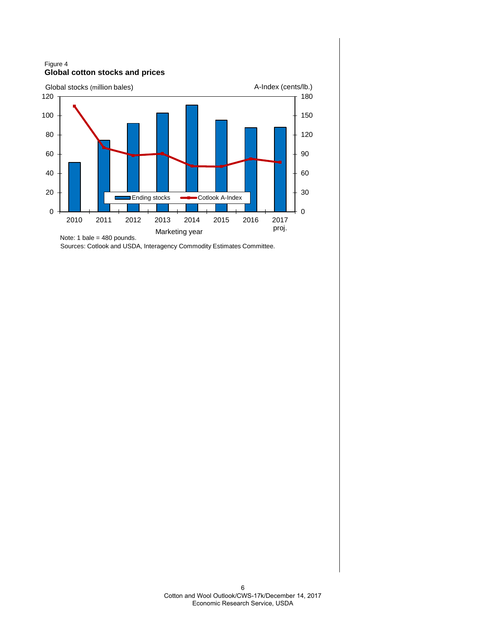Figure 4 **Global cotton stocks and prices**



Sources: Cotlook and USDA, Interagency Commodity Estimates Committee.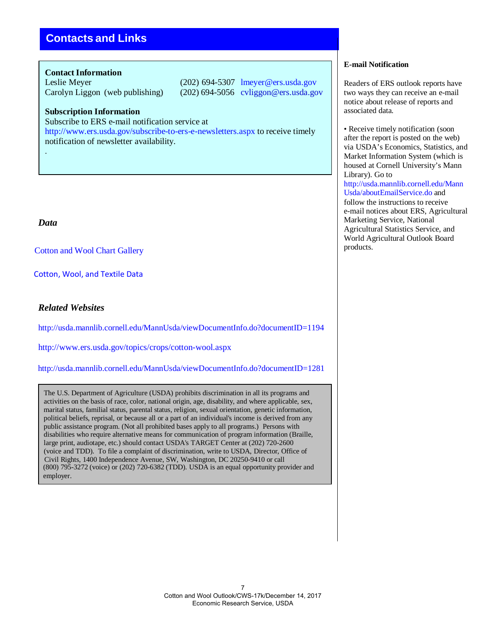# **Contacts and Links**

#### **Contact Information**

Leslie Meyer (202) 694-5307 [lmeyer@ers.usda.gov](mailto:lmeyer@ers.usda.gov) Carolyn Liggon (web publishing) (202) 694-5056 cvliggon@ers.usda.gov

#### **Subscription Information**

Subscribe to ERS e-mail notification service at

[http://www.ers.usda.gov/subscribe-to-ers-e-newsletters.aspx t](http://www.ers.usda.gov/subscribe-to-ers-e-newsletters.aspx)o receive timely notification of newsletter availability.

#### *Data*

.

[Cotton and Wool](https://www.ers.usda.gov/data-products/cotton-and-wool-chart-gallery/) Chart Gallery

 [Cotton, Wool, and Textile Data](https://www.ers.usda.gov/data-products/cotton-wool-and-textile-data/)

## *Related Websites*

<http://usda.mannlib.cornell.edu/MannUsda/viewDocumentInfo.do?documentID=1194>

<http://www.ers.usda.gov/topics/crops/cotton-wool.aspx>

<http://usda.mannlib.cornell.edu/MannUsda/viewDocumentInfo.do?documentID=1281>

The U.S. Department of Agriculture (USDA) prohibits discrimination in all its programs and activities on the basis of race, color, national origin, age, disability, and where applicable, sex, marital status, familial status, parental status, religion, sexual orientation, genetic information, political beliefs, reprisal, or because all or a part of an individual's income is derived from any public assistance program. (Not all prohibited bases apply to all programs.) Persons with disabilities who require alternative means for communication of program information (Braille, large print, audiotape, etc.) should contact USDA's TARGET Center at (202) 720-2600 (voice and TDD). To file a complaint of discrimination, write to USDA, Director, Office of Civil Rights, 1400 Independence Avenue, SW, Washington, DC 20250-9410 or call (800) 795-3272 (voice) or (202) 720-6382 (TDD). USDA is an equal opportunity provider and employer.

#### **E-mail Notification**

Readers of ERS outlook reports have two ways they can receive an e-mail notice about release of reports and associated data.

• Receive timely notification (soon after the report is posted on the web) via USDA's Economics, Statistics, and Market Information System (which is housed at Cornell University's Mann Library). Go to [http://usda.mannlib.cornell.edu/Mann](http://usda.mannlib.cornell.edu/MannUsda/aboutEmailService.do) [Usda/aboutEmailService.do a](http://usda.mannlib.cornell.edu/MannUsda/aboutEmailService.do)nd follow the instructions to receive e-mail notices about ERS, Agricultural Marketing Service, National Agricultural Statistics Service, and World Agricultural Outlook Board products.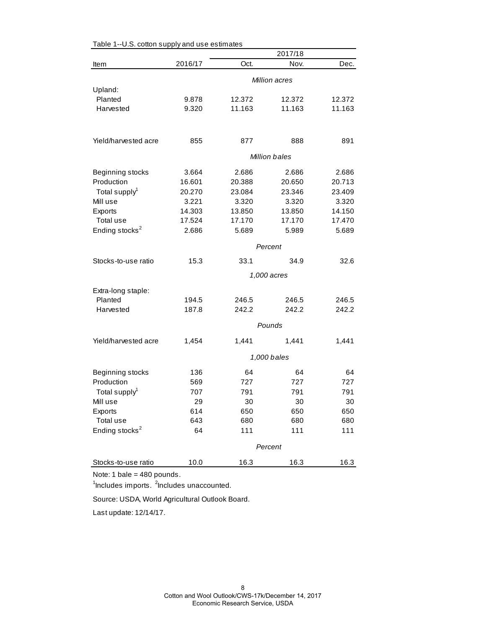|                            | 2017/18              |        |               |        |
|----------------------------|----------------------|--------|---------------|--------|
| Item                       | 2016/17              | Oct.   | Nov.          | Dec.   |
|                            | <b>Million acres</b> |        |               |        |
| Upland:                    |                      |        |               |        |
| Planted                    | 9.878                | 12.372 | 12.372        | 12.372 |
| Harvested                  | 9.320                | 11.163 | 11.163        | 11.163 |
| Yield/harvested acre       | 855                  | 877    | 888           | 891    |
|                            |                      |        | Million bales |        |
| Beginning stocks           | 3.664                | 2.686  | 2.686         | 2.686  |
| Production                 | 16.601               | 20.388 | 20.650        | 20.713 |
| Total supply <sup>1</sup>  | 20.270               | 23.084 | 23.346        | 23.409 |
| Mill use                   | 3.221                | 3.320  | 3.320         | 3.320  |
| Exports                    | 14.303               | 13.850 | 13.850        | 14.150 |
| Total use                  | 17.524               | 17.170 | 17.170        | 17.470 |
| Ending stocks <sup>2</sup> | 2.686                | 5.689  | 5.989         | 5.689  |
|                            |                      |        | Percent       |        |
| Stocks-to-use ratio        | 15.3                 | 33.1   | 34.9          | 32.6   |
|                            |                      |        | 1,000 acres   |        |
| Extra-long staple:         |                      |        |               |        |
| Planted                    | 194.5                | 246.5  | 246.5         | 246.5  |
| Harvested                  | 187.8                | 242.2  | 242.2         | 242.2  |
|                            |                      |        |               |        |
|                            |                      |        | Pounds        |        |
| Yield/harvested acre       | 1,454                | 1,441  | 1,441         | 1,441  |
|                            |                      |        | 1,000 bales   |        |
| Beginning stocks           | 136                  | 64     | 64            | 64     |
| Production                 | 569                  | 727    | 727           | 727    |
| Total supply <sup>1</sup>  | 707                  | 791    | 791           | 791    |
| Mill use                   | 29                   | 30     | 30            | 30     |
| Exports                    | 614                  | 650    | 650           | 650    |
| Total use                  | 643                  | 680    | 680           | 680    |
| Ending stocks <sup>2</sup> | 64                   | 111    | 111           | 111    |
|                            |                      |        | Percent       |        |
| Stocks-to-use ratio        | 10.0                 | 16.3   | 16.3          | 16.3   |
|                            |                      |        |               |        |

Table 1--U.S. cotton supply and use estimates

Note: 1 bale = 480 pounds.

<sup>1</sup>Includes imports. <sup>2</sup>Includes unaccounted.

Source: USDA, World Agricultural Outlook Board.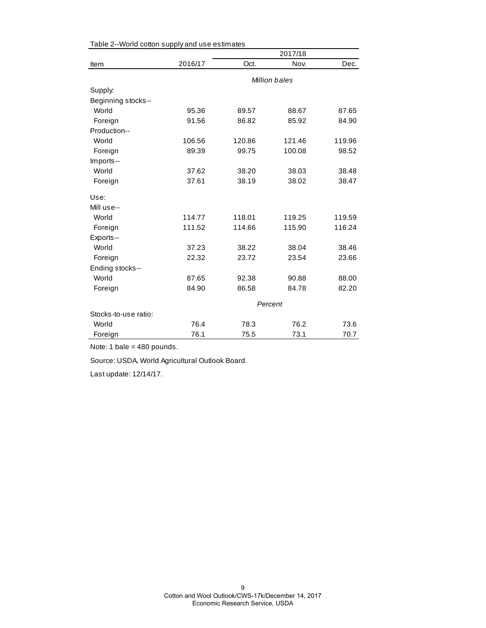|                      |         |        | 2017/18       |        |
|----------------------|---------|--------|---------------|--------|
| Item                 | 2016/17 | Oct.   | Nov.          | Dec.   |
|                      |         |        | Million bales |        |
| Supply:              |         |        |               |        |
| Beginning stocks--   |         |        |               |        |
| World                | 95.36   | 89.57  | 88.67         | 87.65  |
| Foreign              | 91.56   | 86.82  | 85.92         | 84.90  |
| Production--         |         |        |               |        |
| World                | 106.56  | 120.86 | 121.46        | 119.96 |
| Foreign              | 89.39   | 99.75  | 100.08        | 98.52  |
| Imports--            |         |        |               |        |
| World                | 37.62   | 38.20  | 38.03         | 38.48  |
| Foreign              | 37.61   | 38.19  | 38.02         | 38.47  |
| Use:                 |         |        |               |        |
| Mill use--           |         |        |               |        |
| World                | 114.77  | 118.01 | 119.25        | 119.59 |
| Foreign              | 111.52  | 114.66 | 115.90        | 116.24 |
| Exports--            |         |        |               |        |
| World                | 37.23   | 38.22  | 38.04         | 38.46  |
| Foreign              | 22.32   | 23.72  | 23.54         | 23.66  |
| Ending stocks--      |         |        |               |        |
| World                | 87.65   | 92.38  | 90.88         | 88.00  |
| Foreign              | 84.90   | 86.58  | 84.78         | 82.20  |
|                      | Percent |        |               |        |
| Stocks-to-use ratio: |         |        |               |        |
| World                | 76.4    | 78.3   | 76.2          | 73.6   |
| Foreign              | 76.1    | 75.5   | 73.1          | 70.7   |

Table 2--World cotton supply and use estimates

Note: 1 bale = 480 pounds.

Source: USDA, World Agricultural Outlook Board.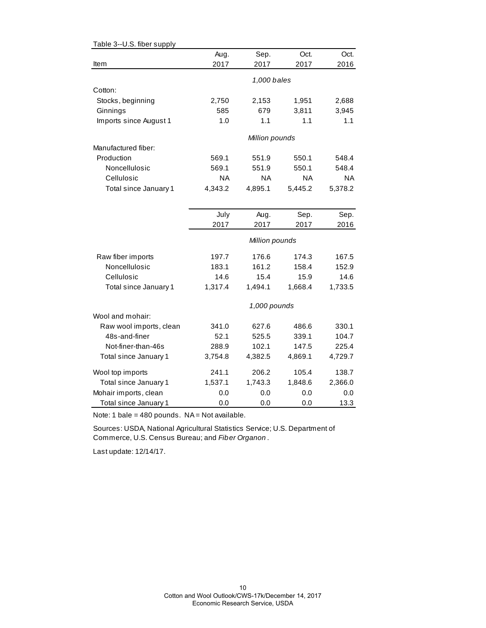| Table 3--U.S. fiber supply    |              |                |           |                |
|-------------------------------|--------------|----------------|-----------|----------------|
|                               | Aug.         | Sep.           | Oct.      | Oct.           |
| Item                          | 2017         | 2017           | 2017      | 2016           |
|                               |              | 1,000 bales    |           |                |
| Cotton:                       |              |                |           |                |
|                               |              | 2,153          | 1,951     |                |
| Stocks, beginning<br>Ginnings | 2,750<br>585 | 679            | 3,811     | 2,688<br>3,945 |
| Imports since August 1        | 1.0          | 1.1            | 1.1       | 1.1            |
|                               |              |                |           |                |
|                               |              | Million pounds |           |                |
| Manufactured fiber:           |              |                |           |                |
| Production                    | 569.1        | 551.9          | 550.1     | 548.4          |
| Noncellulosic                 | 569.1        | 551.9          | 550.1     | 548.4          |
| Cellulosic                    | <b>NA</b>    | ΝA             | <b>NA</b> | <b>NA</b>      |
| Total since January 1         | 4,343.2      | 4,895.1        | 5,445.2   | 5,378.2        |
|                               |              |                |           |                |
|                               |              |                |           |                |
|                               | July         | Aug.           | Sep.      | Sep.           |
|                               | 2017         | 2017           | 2017      | 2016           |
|                               |              | Million pounds |           |                |
| Raw fiber imports             | 197.7        | 176.6          | 174.3     | 167.5          |
| Noncellulosic                 | 183.1        | 161.2          | 158.4     | 152.9          |
| Cellulosic                    | 14.6         | 15.4           | 15.9      | 14.6           |
| Total since January 1         | 1,317.4      | 1,494.1        | 1,668.4   | 1,733.5        |
|                               |              | 1,000 pounds   |           |                |
| Wool and mohair:              |              |                |           |                |
| Raw wool imports, clean       | 341.0        | 627.6          | 486.6     | 330.1          |
| 48s-and-finer                 | 52.1         | 525.5          | 339.1     | 104.7          |
| Not-finer-than-46s            | 288.9        | 102.1          | 147.5     | 225.4          |
| Total since January 1         | 3,754.8      | 4,382.5        | 4,869.1   | 4,729.7        |
| Wool top imports              | 241.1        | 206.2          | 105.4     | 138.7          |
| Total since January 1         | 1,537.1      | 1,743.3        | 1,848.6   | 2,366.0        |
| Mohair imports, clean         | 0.0          | 0.0            | 0.0       | 0.0            |
| Total since January 1         | 0.0          | 0.0            | 0.0       | 13.3           |

Note: 1 bale =  $480$  pounds. NA = Not available.

Sources: USDA, National Agricultural Statistics Service; U.S. Department of Commerce, U.S. Census Bureau; and *Fiber Organon* .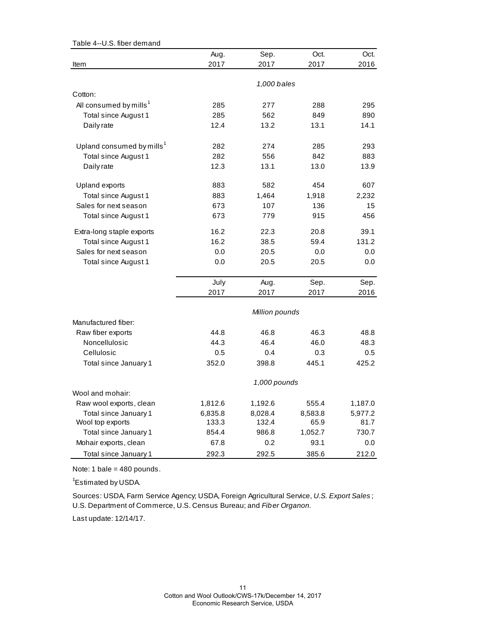| Table 4--U.S. fiber demand            |         |                |         |         |
|---------------------------------------|---------|----------------|---------|---------|
|                                       | Aug.    | Sep.           | Oct.    | Oct.    |
| Item                                  | 2017    | 2017           | 2017    | 2016    |
|                                       |         |                |         |         |
|                                       |         | 1,000 bales    |         |         |
| Cotton:                               |         |                |         |         |
| All consumed by mills <sup>1</sup>    | 285     | 277            | 288     | 295     |
| Total since August 1                  | 285     | 562            | 849     | 890     |
| Daily rate                            | 12.4    | 13.2           | 13.1    | 14.1    |
| Upland consumed by mills <sup>1</sup> | 282     | 274            | 285     | 293     |
| Total since August 1                  | 282     | 556            | 842     | 883     |
| Daily rate                            | 12.3    | 13.1           | 13.0    | 13.9    |
| Upland exports                        | 883     | 582            | 454     | 607     |
| Total since August 1                  | 883     | 1,464          | 1,918   | 2,232   |
| Sales for next season                 | 673     | 107            | 136     | 15      |
|                                       |         |                |         |         |
| Total since August 1                  | 673     | 779            | 915     | 456     |
| Extra-long staple exports             | 16.2    | 22.3           | 20.8    | 39.1    |
| Total since August 1                  | 16.2    | 38.5           | 59.4    | 131.2   |
| Sales for next season                 | 0.0     | 20.5           | 0.0     | 0.0     |
| Total since August 1                  | 0.0     | 20.5           | 20.5    | 0.0     |
|                                       | July    | Aug.           | Sep.    | Sep.    |
|                                       | 2017    | 2017           | 2017    | 2016    |
|                                       |         |                |         |         |
|                                       |         | Million pounds |         |         |
| Manufactured fiber:                   |         |                |         |         |
| Raw fiber exports                     | 44.8    | 46.8           | 46.3    | 48.8    |
| Noncellulosic                         | 44.3    | 46.4           | 46.0    | 48.3    |
| Cellulosic                            | 0.5     | 0.4            | 0.3     | 0.5     |
| Total since January 1                 | 352.0   | 398.8          | 445.1   | 425.2   |
|                                       |         | 1,000 pounds   |         |         |
| Wool and mohair:                      |         |                |         |         |
| Raw wool exports, clean               | 1,812.6 | 1,192.6        | 555.4   | 1,187.0 |
| Total since January 1                 | 6,835.8 | 8,028.4        | 8,583.8 | 5,977.2 |
| Wool top exports                      | 133.3   | 132.4          | 65.9    | 81.7    |
| Total since January 1                 | 854.4   | 986.8          | 1,052.7 | 730.7   |
| Mohair exports, clean                 | 67.8    | 0.2            | 93.1    | 0.0     |
| Total since January 1                 | 292.3   | 292.5          | 385.6   | 212.0   |

Note: 1 bale = 480 pounds.

<sup>1</sup>Estimated by USDA.

Sources: USDA, Farm Service Agency; USDA, Foreign Agricultural Service, *U.S. Export Sales* ; U.S. Department of Commerce, U.S. Census Bureau; and *Fiber Organon.*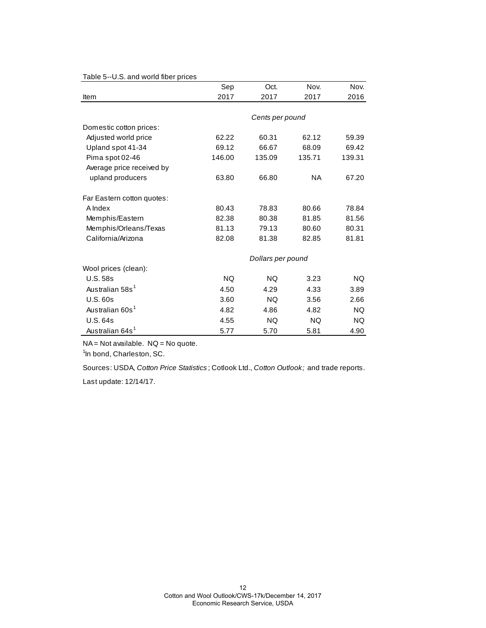| rable 5-6.0. and wond liber prices |           |                   |           |           |
|------------------------------------|-----------|-------------------|-----------|-----------|
|                                    | Sep       | Oct.              | Nov.      | Nov.      |
| Item                               | 2017      | 2017              | 2017      | 2016      |
|                                    |           |                   |           |           |
|                                    |           | Cents per pound   |           |           |
| Domestic cotton prices:            |           |                   |           |           |
| Adjusted world price               | 62.22     | 60.31             | 62.12     | 59.39     |
| Upland spot 41-34                  | 69.12     | 66.67             | 68.09     | 69.42     |
| Pima spot 02-46                    | 146.00    | 135.09            | 135.71    | 139.31    |
| Average price received by          |           |                   |           |           |
| upland producers                   | 63.80     | 66.80             | <b>NA</b> | 67.20     |
| Far Eastern cotton quotes:         |           |                   |           |           |
| A Index                            | 80.43     | 78.83             | 80.66     | 78.84     |
| Memphis/Eastern                    | 82.38     | 80.38             | 81.85     | 81.56     |
| Memphis/Orleans/Texas              | 81.13     | 79.13             | 80.60     | 80.31     |
| California/Arizona                 | 82.08     | 81.38             | 82.85     | 81.81     |
|                                    |           | Dollars per pound |           |           |
| Wool prices (clean):               |           |                   |           |           |
| <b>U.S. 58s</b>                    | <b>NQ</b> | <b>NQ</b>         | 3.23      | <b>NQ</b> |
| Australian 58s <sup>1</sup>        | 4.50      | 4.29              | 4.33      | 3.89      |
| <b>U.S. 60s</b>                    | 3.60      | NQ.               | 3.56      | 2.66      |
| Australian 60s <sup>1</sup>        | 4.82      | 4.86              | 4.82      | NQ.       |
| <b>U.S. 64s</b>                    | 4.55      | <b>NQ</b>         | <b>NQ</b> | NQ.       |
| Australian 64s <sup>1</sup>        | 5.77      | 5.70              | 5.81      | 4.90      |

## Table 5--U.S. and world fiber prices

 $NA = Not available.$   $NQ = No$  quote.

<sup>1</sup>In bond, Charleston, SC.

Sources: USDA, *Cotton Price Statistics* ; Cotlook Ltd., *Cotton Outlook;* and trade reports. Last update: 12/14/17.

> 12 Cotton and Wool Outlook/CWS-17k/December 14, 2017 Economic Research Service, USDA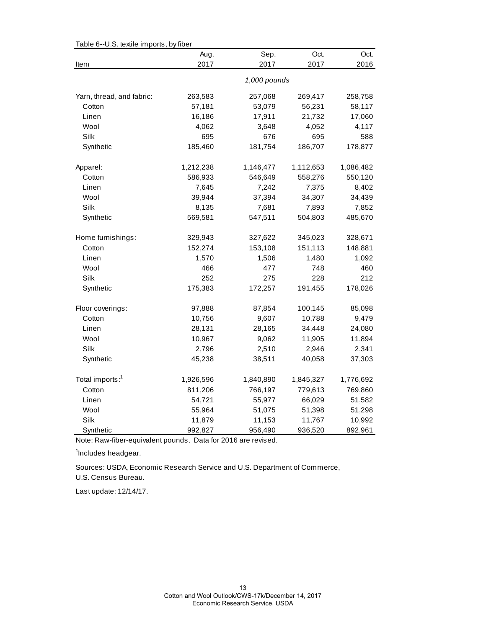| Aug.<br>Sep.<br>Oct.<br>Oct.<br>2017<br>2017<br>2017<br>2016<br>Item<br>1,000 pounds<br>Yarn, thread, and fabric:<br>263,583<br>257,068<br>269,417<br>258,758<br>57,181<br>53,079<br>56,231<br>58,117<br>Cotton<br>17,911<br>Linen<br>16,186<br>21,732<br>17,060<br>Wool<br>4,062<br>3,648<br>4,052<br>4,117<br>Silk<br>695<br>695<br>588<br>676<br>Synthetic<br>185,460<br>181,754<br>186,707<br>178,877<br>Apparel:<br>1,212,238<br>1,146,477<br>1,112,653<br>1,086,482<br>Cotton<br>586,933<br>546,649<br>558,276<br>550,120<br>7,645<br>7,242<br>7,375<br>Linen<br>8,402<br>Wool<br>39,944<br>37,394<br>34,307<br>34,439<br>Silk<br>8,135<br>7,681<br>7,893<br>7,852<br>Synthetic<br>569,581<br>547,511<br>504,803<br>485,670<br>Home furnishings:<br>329,943<br>327,622<br>345,023<br>328,671<br>Cotton<br>152,274<br>153,108<br>151,113<br>148,881<br>1,570<br>1,506<br>1,480<br>1,092<br>Linen<br>Wool<br>466<br>477<br>748<br>460<br><b>Silk</b><br>252<br>275<br>228<br>212<br>Synthetic<br>175,383<br>172,257<br>191,455<br>178,026<br>Floor coverings:<br>97,888<br>87,854<br>100,145<br>85,098<br>Cotton<br>10,756<br>9,607<br>10,788<br>9,479<br>28,131<br>Linen<br>28,165<br>34,448<br>24,080<br>Wool<br>11,905<br>11,894<br>10,967<br>9,062<br>Silk<br>2,796<br>2,510<br>2,946<br>2,341<br>Synthetic<br>45,238<br>38,511<br>40,058<br>37,303<br>Total imports: <sup>1</sup><br>1,926,596<br>1,840,890<br>1,845,327<br>1,776,692<br>Cotton<br>811,206<br>766,197<br>779,613<br>769,860<br>Linen<br>54,721<br>55,977<br>66,029<br>51,582<br>Wool<br>55,964<br>51,075<br>51,398<br>51,298<br>Silk<br>11,879<br>11,153<br>11,767<br>10,992<br>Synthetic<br>992,827<br>956,490<br>936,520<br>892,961 | Table 6--0.S. textile imports, by fiber |  |  |  |  |  |  |
|----------------------------------------------------------------------------------------------------------------------------------------------------------------------------------------------------------------------------------------------------------------------------------------------------------------------------------------------------------------------------------------------------------------------------------------------------------------------------------------------------------------------------------------------------------------------------------------------------------------------------------------------------------------------------------------------------------------------------------------------------------------------------------------------------------------------------------------------------------------------------------------------------------------------------------------------------------------------------------------------------------------------------------------------------------------------------------------------------------------------------------------------------------------------------------------------------------------------------------------------------------------------------------------------------------------------------------------------------------------------------------------------------------------------------------------------------------------------------------------------------------------------------------------------------------------------------------------------------------------------------------------------------------------------------------------------------------------|-----------------------------------------|--|--|--|--|--|--|
|                                                                                                                                                                                                                                                                                                                                                                                                                                                                                                                                                                                                                                                                                                                                                                                                                                                                                                                                                                                                                                                                                                                                                                                                                                                                                                                                                                                                                                                                                                                                                                                                                                                                                                                |                                         |  |  |  |  |  |  |
|                                                                                                                                                                                                                                                                                                                                                                                                                                                                                                                                                                                                                                                                                                                                                                                                                                                                                                                                                                                                                                                                                                                                                                                                                                                                                                                                                                                                                                                                                                                                                                                                                                                                                                                |                                         |  |  |  |  |  |  |
|                                                                                                                                                                                                                                                                                                                                                                                                                                                                                                                                                                                                                                                                                                                                                                                                                                                                                                                                                                                                                                                                                                                                                                                                                                                                                                                                                                                                                                                                                                                                                                                                                                                                                                                |                                         |  |  |  |  |  |  |
|                                                                                                                                                                                                                                                                                                                                                                                                                                                                                                                                                                                                                                                                                                                                                                                                                                                                                                                                                                                                                                                                                                                                                                                                                                                                                                                                                                                                                                                                                                                                                                                                                                                                                                                |                                         |  |  |  |  |  |  |
|                                                                                                                                                                                                                                                                                                                                                                                                                                                                                                                                                                                                                                                                                                                                                                                                                                                                                                                                                                                                                                                                                                                                                                                                                                                                                                                                                                                                                                                                                                                                                                                                                                                                                                                |                                         |  |  |  |  |  |  |
|                                                                                                                                                                                                                                                                                                                                                                                                                                                                                                                                                                                                                                                                                                                                                                                                                                                                                                                                                                                                                                                                                                                                                                                                                                                                                                                                                                                                                                                                                                                                                                                                                                                                                                                |                                         |  |  |  |  |  |  |
|                                                                                                                                                                                                                                                                                                                                                                                                                                                                                                                                                                                                                                                                                                                                                                                                                                                                                                                                                                                                                                                                                                                                                                                                                                                                                                                                                                                                                                                                                                                                                                                                                                                                                                                |                                         |  |  |  |  |  |  |
|                                                                                                                                                                                                                                                                                                                                                                                                                                                                                                                                                                                                                                                                                                                                                                                                                                                                                                                                                                                                                                                                                                                                                                                                                                                                                                                                                                                                                                                                                                                                                                                                                                                                                                                |                                         |  |  |  |  |  |  |
|                                                                                                                                                                                                                                                                                                                                                                                                                                                                                                                                                                                                                                                                                                                                                                                                                                                                                                                                                                                                                                                                                                                                                                                                                                                                                                                                                                                                                                                                                                                                                                                                                                                                                                                |                                         |  |  |  |  |  |  |
|                                                                                                                                                                                                                                                                                                                                                                                                                                                                                                                                                                                                                                                                                                                                                                                                                                                                                                                                                                                                                                                                                                                                                                                                                                                                                                                                                                                                                                                                                                                                                                                                                                                                                                                |                                         |  |  |  |  |  |  |
|                                                                                                                                                                                                                                                                                                                                                                                                                                                                                                                                                                                                                                                                                                                                                                                                                                                                                                                                                                                                                                                                                                                                                                                                                                                                                                                                                                                                                                                                                                                                                                                                                                                                                                                |                                         |  |  |  |  |  |  |
|                                                                                                                                                                                                                                                                                                                                                                                                                                                                                                                                                                                                                                                                                                                                                                                                                                                                                                                                                                                                                                                                                                                                                                                                                                                                                                                                                                                                                                                                                                                                                                                                                                                                                                                |                                         |  |  |  |  |  |  |
|                                                                                                                                                                                                                                                                                                                                                                                                                                                                                                                                                                                                                                                                                                                                                                                                                                                                                                                                                                                                                                                                                                                                                                                                                                                                                                                                                                                                                                                                                                                                                                                                                                                                                                                |                                         |  |  |  |  |  |  |
|                                                                                                                                                                                                                                                                                                                                                                                                                                                                                                                                                                                                                                                                                                                                                                                                                                                                                                                                                                                                                                                                                                                                                                                                                                                                                                                                                                                                                                                                                                                                                                                                                                                                                                                |                                         |  |  |  |  |  |  |
|                                                                                                                                                                                                                                                                                                                                                                                                                                                                                                                                                                                                                                                                                                                                                                                                                                                                                                                                                                                                                                                                                                                                                                                                                                                                                                                                                                                                                                                                                                                                                                                                                                                                                                                |                                         |  |  |  |  |  |  |
|                                                                                                                                                                                                                                                                                                                                                                                                                                                                                                                                                                                                                                                                                                                                                                                                                                                                                                                                                                                                                                                                                                                                                                                                                                                                                                                                                                                                                                                                                                                                                                                                                                                                                                                |                                         |  |  |  |  |  |  |
|                                                                                                                                                                                                                                                                                                                                                                                                                                                                                                                                                                                                                                                                                                                                                                                                                                                                                                                                                                                                                                                                                                                                                                                                                                                                                                                                                                                                                                                                                                                                                                                                                                                                                                                |                                         |  |  |  |  |  |  |
|                                                                                                                                                                                                                                                                                                                                                                                                                                                                                                                                                                                                                                                                                                                                                                                                                                                                                                                                                                                                                                                                                                                                                                                                                                                                                                                                                                                                                                                                                                                                                                                                                                                                                                                |                                         |  |  |  |  |  |  |
|                                                                                                                                                                                                                                                                                                                                                                                                                                                                                                                                                                                                                                                                                                                                                                                                                                                                                                                                                                                                                                                                                                                                                                                                                                                                                                                                                                                                                                                                                                                                                                                                                                                                                                                |                                         |  |  |  |  |  |  |
|                                                                                                                                                                                                                                                                                                                                                                                                                                                                                                                                                                                                                                                                                                                                                                                                                                                                                                                                                                                                                                                                                                                                                                                                                                                                                                                                                                                                                                                                                                                                                                                                                                                                                                                |                                         |  |  |  |  |  |  |
|                                                                                                                                                                                                                                                                                                                                                                                                                                                                                                                                                                                                                                                                                                                                                                                                                                                                                                                                                                                                                                                                                                                                                                                                                                                                                                                                                                                                                                                                                                                                                                                                                                                                                                                |                                         |  |  |  |  |  |  |
|                                                                                                                                                                                                                                                                                                                                                                                                                                                                                                                                                                                                                                                                                                                                                                                                                                                                                                                                                                                                                                                                                                                                                                                                                                                                                                                                                                                                                                                                                                                                                                                                                                                                                                                |                                         |  |  |  |  |  |  |
|                                                                                                                                                                                                                                                                                                                                                                                                                                                                                                                                                                                                                                                                                                                                                                                                                                                                                                                                                                                                                                                                                                                                                                                                                                                                                                                                                                                                                                                                                                                                                                                                                                                                                                                |                                         |  |  |  |  |  |  |
|                                                                                                                                                                                                                                                                                                                                                                                                                                                                                                                                                                                                                                                                                                                                                                                                                                                                                                                                                                                                                                                                                                                                                                                                                                                                                                                                                                                                                                                                                                                                                                                                                                                                                                                |                                         |  |  |  |  |  |  |
|                                                                                                                                                                                                                                                                                                                                                                                                                                                                                                                                                                                                                                                                                                                                                                                                                                                                                                                                                                                                                                                                                                                                                                                                                                                                                                                                                                                                                                                                                                                                                                                                                                                                                                                |                                         |  |  |  |  |  |  |
|                                                                                                                                                                                                                                                                                                                                                                                                                                                                                                                                                                                                                                                                                                                                                                                                                                                                                                                                                                                                                                                                                                                                                                                                                                                                                                                                                                                                                                                                                                                                                                                                                                                                                                                |                                         |  |  |  |  |  |  |
|                                                                                                                                                                                                                                                                                                                                                                                                                                                                                                                                                                                                                                                                                                                                                                                                                                                                                                                                                                                                                                                                                                                                                                                                                                                                                                                                                                                                                                                                                                                                                                                                                                                                                                                |                                         |  |  |  |  |  |  |
|                                                                                                                                                                                                                                                                                                                                                                                                                                                                                                                                                                                                                                                                                                                                                                                                                                                                                                                                                                                                                                                                                                                                                                                                                                                                                                                                                                                                                                                                                                                                                                                                                                                                                                                |                                         |  |  |  |  |  |  |
|                                                                                                                                                                                                                                                                                                                                                                                                                                                                                                                                                                                                                                                                                                                                                                                                                                                                                                                                                                                                                                                                                                                                                                                                                                                                                                                                                                                                                                                                                                                                                                                                                                                                                                                |                                         |  |  |  |  |  |  |
|                                                                                                                                                                                                                                                                                                                                                                                                                                                                                                                                                                                                                                                                                                                                                                                                                                                                                                                                                                                                                                                                                                                                                                                                                                                                                                                                                                                                                                                                                                                                                                                                                                                                                                                |                                         |  |  |  |  |  |  |
|                                                                                                                                                                                                                                                                                                                                                                                                                                                                                                                                                                                                                                                                                                                                                                                                                                                                                                                                                                                                                                                                                                                                                                                                                                                                                                                                                                                                                                                                                                                                                                                                                                                                                                                |                                         |  |  |  |  |  |  |
|                                                                                                                                                                                                                                                                                                                                                                                                                                                                                                                                                                                                                                                                                                                                                                                                                                                                                                                                                                                                                                                                                                                                                                                                                                                                                                                                                                                                                                                                                                                                                                                                                                                                                                                |                                         |  |  |  |  |  |  |
|                                                                                                                                                                                                                                                                                                                                                                                                                                                                                                                                                                                                                                                                                                                                                                                                                                                                                                                                                                                                                                                                                                                                                                                                                                                                                                                                                                                                                                                                                                                                                                                                                                                                                                                |                                         |  |  |  |  |  |  |

 $Table 6-11$  S, textile imports, by  $fit$ 

Note: Raw-fiber-equivalent pounds. Data for 2016 are revised.

<sup>1</sup>Includes headgear.

U.S. Census Bureau. Sources: USDA, Economic Research Service and U.S. Department of Commerce,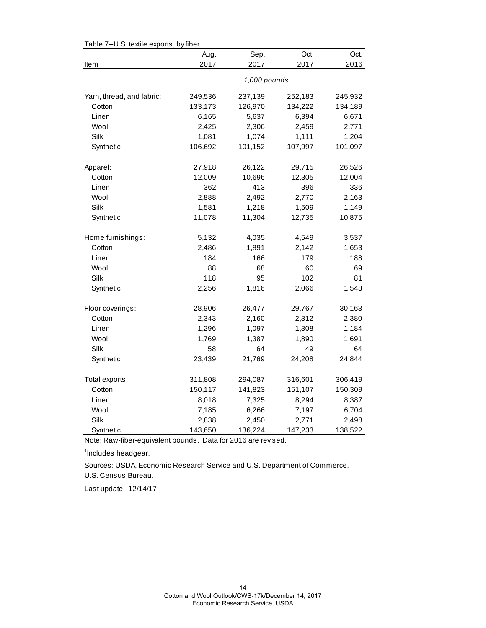| Table 7--U.S. textile exports, by fiber |              |         |         |         |  |  |
|-----------------------------------------|--------------|---------|---------|---------|--|--|
|                                         | Aug.         | Sep.    | Oct.    | Oct.    |  |  |
| Item                                    | 2017         | 2017    | 2017    | 2016    |  |  |
|                                         | 1,000 pounds |         |         |         |  |  |
| Yarn, thread, and fabric:               | 249,536      | 237,139 | 252,183 | 245,932 |  |  |
| Cotton                                  | 133,173      | 126,970 | 134,222 | 134,189 |  |  |
| Linen                                   | 6,165        | 5,637   | 6,394   | 6,671   |  |  |
| Wool                                    | 2,425        | 2,306   | 2,459   | 2,771   |  |  |
| Silk                                    | 1,081        | 1,074   | 1,111   | 1,204   |  |  |
| Synthetic                               | 106,692      | 101,152 | 107,997 | 101,097 |  |  |
| Apparel:                                | 27,918       | 26,122  | 29,715  | 26,526  |  |  |
| Cotton                                  | 12,009       | 10,696  | 12,305  | 12,004  |  |  |
| Linen                                   | 362          | 413     | 396     | 336     |  |  |
| Wool                                    | 2,888        | 2,492   | 2,770   | 2,163   |  |  |
| Silk                                    | 1,581        | 1,218   | 1,509   | 1,149   |  |  |
| Synthetic                               | 11,078       | 11,304  | 12,735  | 10,875  |  |  |
| Home furnishings:                       | 5,132        | 4,035   | 4,549   | 3,537   |  |  |
| Cotton                                  | 2,486        | 1,891   | 2,142   | 1,653   |  |  |
| Linen                                   | 184          | 166     | 179     | 188     |  |  |
| Wool                                    | 88           | 68      | 60      | 69      |  |  |
| Silk                                    | 118          | 95      | 102     | 81      |  |  |
| Synthetic                               | 2,256        | 1,816   | 2,066   | 1,548   |  |  |
| Floor coverings:                        | 28,906       | 26,477  | 29,767  | 30,163  |  |  |
| Cotton                                  | 2,343        | 2,160   | 2,312   | 2,380   |  |  |
| Linen                                   | 1,296        | 1,097   | 1,308   | 1,184   |  |  |
| Wool                                    | 1,769        | 1,387   | 1,890   | 1,691   |  |  |
| Silk                                    | 58           | 64      | 49      | 64      |  |  |
| Synthetic                               | 23,439       | 21,769  | 24,208  | 24,844  |  |  |
| Total exports: <sup>1</sup>             | 311,808      | 294,087 | 316,601 | 306,419 |  |  |
| Cotton                                  | 150,117      | 141,823 | 151,107 | 150,309 |  |  |
| Linen                                   | 8,018        | 7,325   | 8,294   | 8,387   |  |  |
| Wool                                    | 7,185        | 6,266   | 7,197   | 6,704   |  |  |
| Silk                                    | 2,838        | 2,450   | 2,771   | 2,498   |  |  |
| Synthetic                               | 143,650      | 136,224 | 147,233 | 138,522 |  |  |

Table 7--U.S. textile exports, by fiber

Note: Raw-fiber-equivalent pounds. Data for 2016 are revised.

<sup>1</sup>Includes headgear.

U.S. Census Bureau. Sources: USDA, Economic Research Service and U.S. Department of Commerce,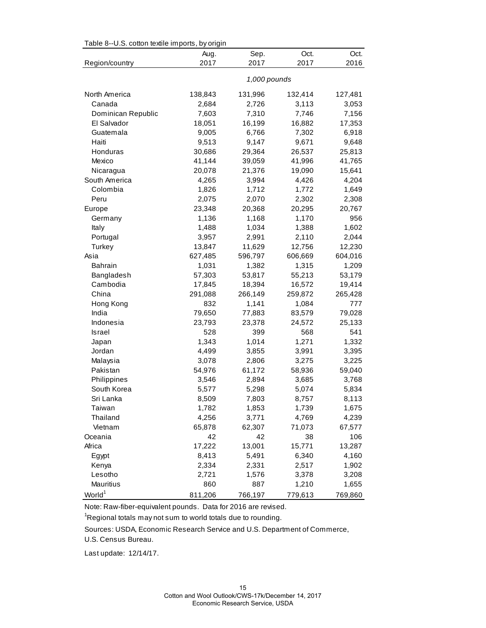| Table 8--U.S. cotton textile imports, by origin |              |         |         |         |  |  |
|-------------------------------------------------|--------------|---------|---------|---------|--|--|
|                                                 | Aug.         | Sep.    | Oct.    | Oct.    |  |  |
| Region/country                                  | 2017         | 2017    | 2017    | 2016    |  |  |
|                                                 | 1,000 pounds |         |         |         |  |  |
| North America                                   | 138,843      | 131,996 | 132,414 | 127,481 |  |  |
| Canada                                          | 2,684        | 2,726   | 3,113   | 3,053   |  |  |
| Dominican Republic                              | 7,603        | 7,310   | 7,746   | 7,156   |  |  |
| El Salvador                                     | 18,051       | 16,199  | 16,882  | 17,353  |  |  |
| Guatemala                                       | 9,005        | 6,766   | 7,302   | 6,918   |  |  |
| Haiti                                           | 9,513        | 9,147   | 9,671   | 9,648   |  |  |
| Honduras                                        | 30,686       | 29,364  | 26,537  | 25,813  |  |  |
| Mexico                                          | 41,144       | 39,059  | 41,996  | 41,765  |  |  |
| Nicaragua                                       | 20,078       | 21,376  | 19,090  | 15,641  |  |  |
| South America                                   | 4,265        | 3,994   | 4,426   | 4,204   |  |  |
| Colombia                                        | 1,826        | 1,712   | 1,772   | 1,649   |  |  |
| Peru                                            | 2,075        | 2,070   | 2,302   | 2,308   |  |  |
| Europe                                          | 23,348       | 20,368  | 20,295  | 20,767  |  |  |
| Germany                                         | 1,136        | 1,168   | 1,170   | 956     |  |  |
| Italy                                           | 1,488        | 1,034   | 1,388   | 1,602   |  |  |
| Portugal                                        | 3,957        | 2,991   | 2,110   | 2,044   |  |  |
| Turkey                                          | 13,847       | 11,629  | 12,756  | 12,230  |  |  |
| Asia                                            | 627,485      | 596,797 | 606,669 | 604,016 |  |  |
| <b>Bahrain</b>                                  | 1,031        | 1,382   | 1,315   | 1,209   |  |  |
| Bangladesh                                      | 57,303       | 53,817  | 55,213  | 53,179  |  |  |
| Cambodia                                        | 17,845       | 18,394  | 16,572  | 19,414  |  |  |
| China                                           | 291,088      | 266,149 | 259,872 | 265,428 |  |  |
| Hong Kong                                       | 832          | 1,141   | 1,084   | 777     |  |  |
| India                                           | 79,650       | 77,883  | 83,579  | 79,028  |  |  |
| Indonesia                                       | 23,793       | 23,378  | 24,572  | 25,133  |  |  |
| <b>Israel</b>                                   | 528          | 399     | 568     | 541     |  |  |
| Japan                                           | 1,343        | 1,014   | 1,271   | 1,332   |  |  |
| Jordan                                          | 4,499        | 3,855   | 3,991   | 3,395   |  |  |
| Malaysia                                        | 3,078        | 2,806   | 3,275   | 3,225   |  |  |
| Pakistan                                        | 54,976       | 61,172  | 58,936  | 59,040  |  |  |
| Philippines                                     | 3,546        | 2,894   | 3,685   | 3,768   |  |  |
| South Korea                                     | 5,577        | 5,298   | 5,074   | 5,834   |  |  |
| Sri Lanka                                       | 8,509        | 7,803   | 8,757   | 8,113   |  |  |
| Taiwan                                          | 1,782        | 1,853   | 1,739   | 1,675   |  |  |
| Thailand                                        | 4,256        | 3,771   | 4,769   | 4,239   |  |  |
| Vietnam                                         | 65,878       | 62,307  | 71,073  | 67,577  |  |  |
| Oceania                                         | 42           | 42      | 38      | 106     |  |  |
| Africa                                          | 17,222       | 13,001  | 15,771  | 13,287  |  |  |
| Egypt                                           | 8,413        | 5,491   | 6,340   | 4,160   |  |  |
| Kenya                                           | 2,334        | 2,331   | 2,517   | 1,902   |  |  |
| Lesotho                                         | 2,721        | 1,576   | 3,378   | 3,208   |  |  |
| Mauritius                                       | 860          | 887     | 1,210   | 1,655   |  |  |
| World <sup>1</sup>                              | 811,206      | 766,197 | 779,613 | 769,860 |  |  |

 $Table 8-11C$  cotton textile imports, by origin

Note: Raw-fiber-equivalent pounds. Data for 2016 are revised.

<sup>1</sup>Regional totals may not sum to world totals due to rounding.

Sources: USDA, Economic Research Service and U.S. Department of Commerce,

U.S. Census Bureau.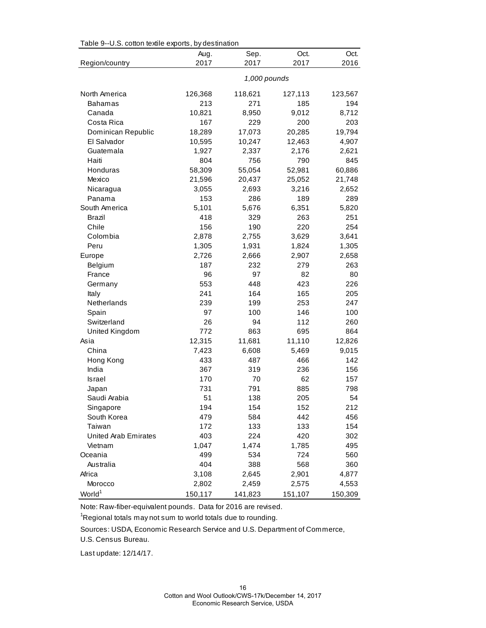| rable 9--0.3. Conton textile exports, by destination |              |         |         |         |  |  |
|------------------------------------------------------|--------------|---------|---------|---------|--|--|
|                                                      | Aug.         | Sep.    | Oct.    | Oct.    |  |  |
| Region/country                                       | 2017         | 2017    | 2017    | 2016    |  |  |
|                                                      | 1,000 pounds |         |         |         |  |  |
| North America                                        | 126,368      | 118,621 | 127,113 | 123,567 |  |  |
| <b>Bahamas</b>                                       | 213          | 271     | 185     | 194     |  |  |
| Canada                                               | 10,821       | 8,950   | 9,012   | 8,712   |  |  |
| Costa Rica                                           | 167          | 229     | 200     | 203     |  |  |
| Dominican Republic                                   | 18,289       | 17,073  | 20,285  | 19,794  |  |  |
| El Salvador                                          | 10,595       | 10,247  | 12,463  | 4,907   |  |  |
| Guatemala                                            | 1,927        | 2,337   | 2,176   | 2,621   |  |  |
| Haiti                                                | 804          | 756     | 790     | 845     |  |  |
| Honduras                                             | 58,309       | 55,054  | 52,981  | 60,886  |  |  |
| Mexico                                               | 21,596       | 20,437  | 25,052  | 21,748  |  |  |
| Nicaragua                                            | 3,055        | 2,693   | 3,216   | 2,652   |  |  |
| Panama                                               | 153          | 286     | 189     | 289     |  |  |
| South America                                        | 5,101        | 5,676   | 6,351   | 5,820   |  |  |
| Brazil                                               | 418          | 329     | 263     | 251     |  |  |
| Chile                                                | 156          | 190     | 220     | 254     |  |  |
| Colombia                                             | 2,878        | 2,755   | 3,629   | 3,641   |  |  |
| Peru                                                 | 1,305        | 1,931   | 1,824   | 1,305   |  |  |
| Europe                                               | 2,726        | 2,666   | 2,907   | 2,658   |  |  |
| Belgium                                              | 187          | 232     | 279     | 263     |  |  |
| France                                               | 96           | 97      | 82      | 80      |  |  |
| Germany                                              | 553          | 448     | 423     | 226     |  |  |
| Italy                                                | 241          | 164     | 165     | 205     |  |  |
| Netherlands                                          | 239          | 199     | 253     | 247     |  |  |
| Spain                                                | 97           | 100     | 146     | 100     |  |  |
| Switzerland                                          | 26           | 94      | 112     | 260     |  |  |
| United Kingdom                                       | 772          | 863     | 695     | 864     |  |  |
| Asia                                                 | 12,315       | 11,681  | 11,110  | 12,826  |  |  |
| China                                                | 7,423        | 6,608   | 5,469   | 9,015   |  |  |
| Hong Kong                                            | 433          | 487     | 466     | 142     |  |  |
| India                                                | 367          | 319     | 236     | 156     |  |  |
| Israel                                               | 170          | 70      | 62      | 157     |  |  |
| Japan                                                | 731          | 791     | 885     | 798     |  |  |
| Saudi Arabia                                         | 51           | 138     | 205     | 54      |  |  |
| Singapore                                            | 194          | 154     | 152     | 212     |  |  |
| South Korea                                          | 479          | 584     | 442     | 456     |  |  |
| Taiwan                                               | 172          | 133     | 133     | 154     |  |  |
| United Arab Emirates                                 | 403          | 224     | 420     | 302     |  |  |
| Vietnam                                              | 1,047        | 1,474   | 1,785   | 495     |  |  |
| Oceania                                              | 499          | 534     | 724     | 560     |  |  |
| Australia                                            | 404          | 388     | 568     | 360     |  |  |
| Africa                                               | 3,108        | 2,645   | 2,901   | 4,877   |  |  |
| Morocco                                              | 2,802        | 2,459   | 2,575   | 4,553   |  |  |
| World <sup>1</sup>                                   | 150,117      | 141,823 | 151,107 | 150,309 |  |  |

Table 9--U.S. cotton textile exports, by destination

Note: Raw-fiber-equivalent pounds. Data for 2016 are revised.

 $\mathrm{{}^1}$ Regional totals may not sum to world totals due to rounding.

Sources: USDA, Economic Research Service and U.S. Department of Commerce,

U.S. Census Bureau.